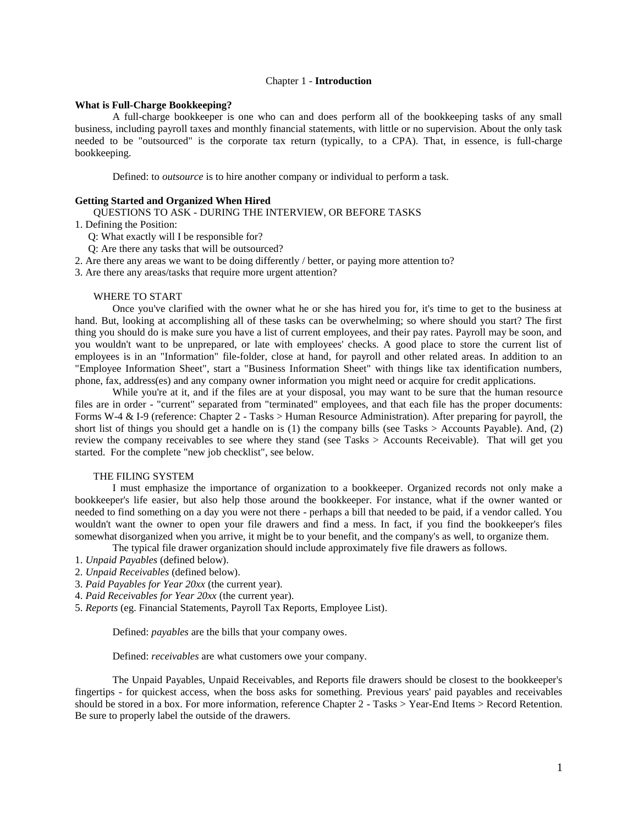## Chapter 1 - **Introduction**

#### **What is Full-Charge Bookkeeping?**

A full-charge bookkeeper is one who can and does perform all of the bookkeeping tasks of any small business, including payroll taxes and monthly financial statements, with little or no supervision. About the only task needed to be "outsourced" is the corporate tax return (typically, to a CPA). That, in essence, is full-charge bookkeeping.

Defined: to *outsource* is to hire another company or individual to perform a task.

## **Getting Started and Organized When Hired**

QUESTIONS TO ASK - DURING THE INTERVIEW, OR BEFORE TASKS

- 1. Defining the Position:
	- Q: What exactly will I be responsible for?
	- Q: Are there any tasks that will be outsourced?
- 2. Are there any areas we want to be doing differently / better, or paying more attention to?
- 3. Are there any areas/tasks that require more urgent attention?

#### WHERE TO START

Once you've clarified with the owner what he or she has hired you for, it's time to get to the business at hand. But, looking at accomplishing all of these tasks can be overwhelming; so where should you start? The first thing you should do is make sure you have a list of current employees, and their pay rates. Payroll may be soon, and you wouldn't want to be unprepared, or late with employees' checks. A good place to store the current list of employees is in an "Information" file-folder, close at hand, for payroll and other related areas. In addition to an "Employee Information Sheet", start a "Business Information Sheet" with things like tax identification numbers, phone, fax, address(es) and any company owner information you might need or acquire for credit applications.

While you're at it, and if the files are at your disposal, you may want to be sure that the human resource files are in order - "current" separated from "terminated" employees, and that each file has the proper documents: Forms W-4 & I-9 (reference: Chapter 2 - Tasks > Human Resource Administration). After preparing for payroll, the short list of things you should get a handle on is  $(1)$  the company bills (see Tasks > Accounts Payable). And,  $(2)$ review the company receivables to see where they stand (see Tasks > Accounts Receivable). That will get you started. For the complete "new job checklist", see below.

# THE FILING SYSTEM

I must emphasize the importance of organization to a bookkeeper. Organized records not only make a bookkeeper's life easier, but also help those around the bookkeeper. For instance, what if the owner wanted or needed to find something on a day you were not there - perhaps a bill that needed to be paid, if a vendor called. You wouldn't want the owner to open your file drawers and find a mess. In fact, if you find the bookkeeper's files somewhat disorganized when you arrive, it might be to your benefit, and the company's as well, to organize them.

The typical file drawer organization should include approximately five file drawers as follows.

- 1. *Unpaid Payables* (defined below).
- 2. *Unpaid Receivables* (defined below).
- 3. *Paid Payables for Year 20xx* (the current year).
- 4. *Paid Receivables for Year 20xx* (the current year).
- 5. *Reports* (eg. Financial Statements, Payroll Tax Reports, Employee List).

Defined: *payables* are the bills that your company owes.

Defined: *receivables* are what customers owe your company.

The Unpaid Payables, Unpaid Receivables, and Reports file drawers should be closest to the bookkeeper's fingertips - for quickest access, when the boss asks for something. Previous years' paid payables and receivables should be stored in a box. For more information, reference Chapter 2 - Tasks > Year-End Items > Record Retention. Be sure to properly label the outside of the drawers.